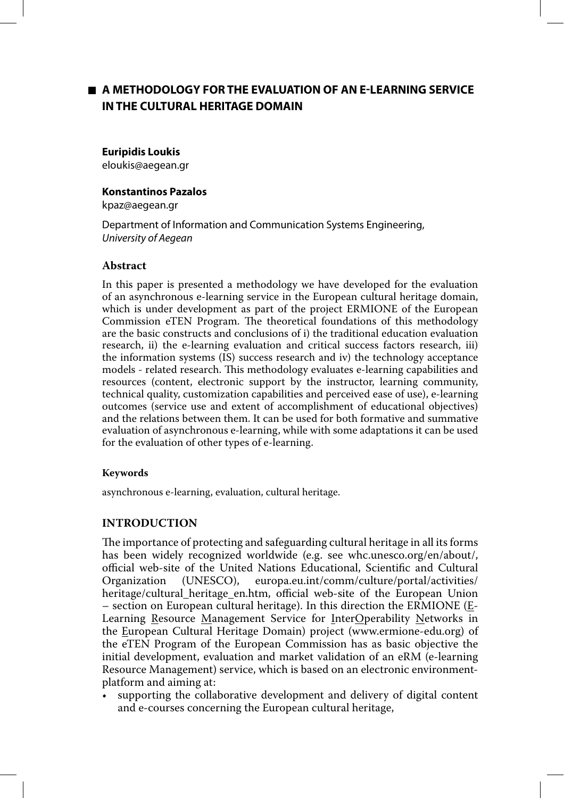# **A METHODOLOGY FOR THE EVALUATION OF AN E-LEARNING SERVICE IN THE CULTURAL HERITAGE DOMAIN**

#### **Euripidis Loukis**

eloukis@aegean.gr

### **Konstantinos Pazalos**

kpaz@aegean.gr

Department of Information and Communication Systems Engineering, University of Aegean

# **Abstract**

In this paper is presented a methodology we have developed for the evaluation of an asynchronous e-learning service in the European cultural heritage domain, which is under development as part of the project ERMIONE of the European Commission eTEN Program. The theoretical foundations of this methodology are the basic constructs and conclusions of i) the traditional education evaluation research, ii) the e-learning evaluation and critical success factors research, iii) the information systems (IS) success research and iv) the technology acceptance models - related research. This methodology evaluates e-learning capabilities and resources (content, electronic support by the instructor, learning community, technical quality, customization capabilities and perceived ease of use), e-learning outcomes (service use and extent of accomplishment of educational objectives) and the relations between them. It can be used for both formative and summative evaluation of asynchronous e-learning, while with some adaptations it can be used for the evaluation of other types of e-learning.

### **Keywords**

asynchronous e-learning, evaluation, cultural heritage.

# **INTRODUCTION**

The importance of protecting and safeguarding cultural heritage in all its forms has been widely recognized worldwide (e.g. see whc.unesco.org/en/about/, official web-site of the United Nations Educational, Scientific and Cultural Organization (UNESCO), europa.eu.int/comm/culture/portal/activities/ heritage/cultural\_heritage\_en.htm, official web-site of the European Union – section on European cultural heritage). In this direction the ERMIONE (E-Learning Resource Management Service for InterOperability Networks in the European Cultural Heritage Domain) project (www.ermione-edu.org) of the eTEN Program of the European Commission has as basic objective the initial development, evaluation and market validation of an eRM (e-learning Resource Management) service, which is based on an electronic environmentplatform and aiming at:

supporting the collaborative development and delivery of digital content and e-courses concerning the European cultural heritage,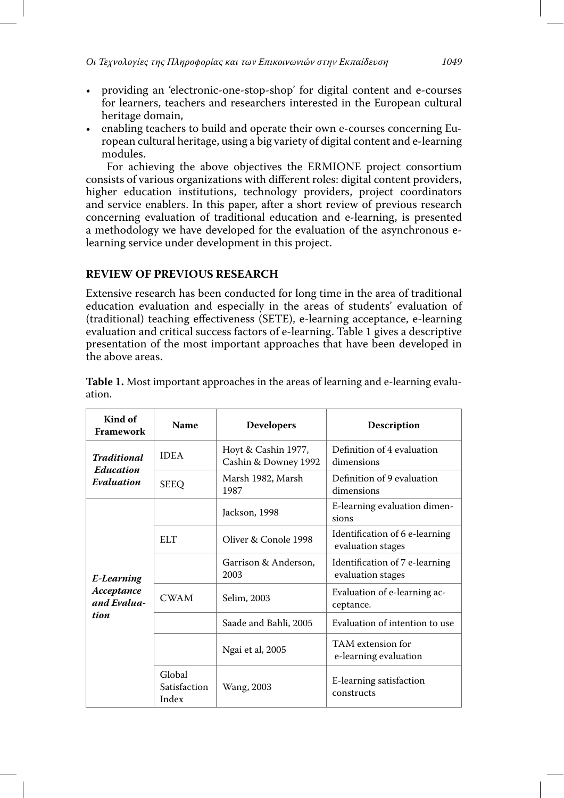- providing an 'electronic-one-stop-shop' for digital content and e-courses for learners, teachers and researchers interested in the European cultural heritage domain,
- enabling teachers to build and operate their own e-courses concerning European cultural heritage, using a big variety of digital content and e-learning modules.

 For achieving the above objectives the ERMIONE project consortium consists of various organizations with different roles: digital content providers, higher education institutions, technology providers, project coordinators and service enablers. In this paper, after a short review of previous research concerning evaluation of traditional education and e-learning, is presented a methodology we have developed for the evaluation of the asynchronous elearning service under development in this project.

# **REVIEW OF PREVIOUS RESEARCH**

Extensive research has been conducted for long time in the area of traditional education evaluation and especially in the areas of students' evaluation of (traditional) teaching effectiveness (SETE), e-learning acceptance, e-learning evaluation and critical success factors of e-learning. Table 1 gives a descriptive presentation of the most important approaches that have been developed in the above areas.

| Kind of<br>Framework                            | Name                            | <b>Developers</b>                           | <b>Description</b>                                  |
|-------------------------------------------------|---------------------------------|---------------------------------------------|-----------------------------------------------------|
| <b>Traditional</b><br>Education<br>Evaluation   | <b>IDEA</b>                     | Hoyt & Cashin 1977,<br>Cashin & Downey 1992 | Definition of 4 evaluation<br>dimensions            |
|                                                 | <b>SEEQ</b>                     | Marsh 1982, Marsh<br>1987                   | Definition of 9 evaluation<br>dimensions            |
| E-Learning<br>Acceptance<br>and Evalua-<br>tion |                                 | Jackson, 1998                               | E-learning evaluation dimen-<br>sions               |
|                                                 | <b>ELT</b>                      | Oliver & Conole 1998                        | Identification of 6 e-learning<br>evaluation stages |
|                                                 |                                 | Garrison & Anderson.<br>2003                | Identification of 7 e-learning<br>evaluation stages |
|                                                 | <b>CWAM</b>                     | Selim, 2003                                 | Evaluation of e-learning ac-<br>ceptance.           |
|                                                 |                                 | Saade and Bahli, 2005                       | Evaluation of intention to use                      |
|                                                 |                                 | Ngai et al, 2005                            | TAM extension for<br>e-learning evaluation          |
|                                                 | Global<br>Satisfaction<br>Index | Wang, 2003                                  | E-learning satisfaction<br>constructs               |

**Table 1.** Most important approaches in the areas of learning and e-learning evaluation.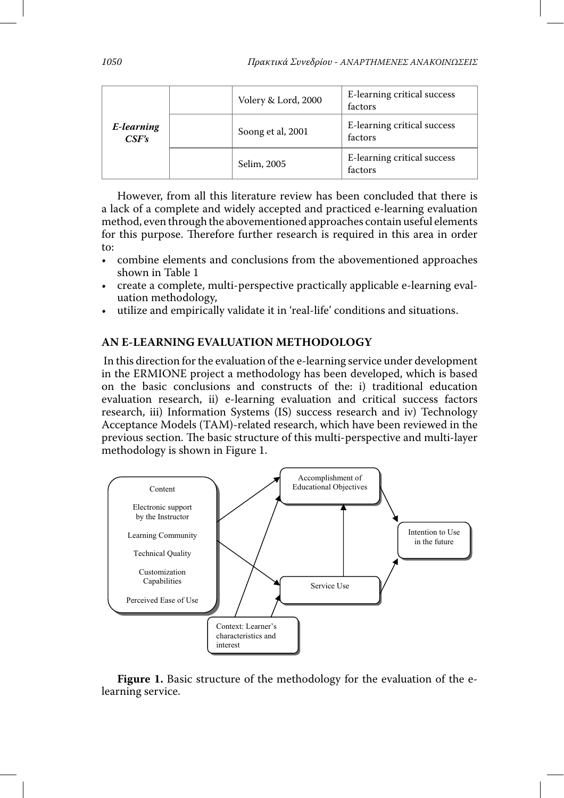| E-learning<br>CSF's | Volery & Lord, 2000 | E-learning critical success<br>factors |
|---------------------|---------------------|----------------------------------------|
|                     | Soong et al, 2001   | E-learning critical success<br>factors |
|                     | Selim, 2005         | E-learning critical success<br>factors |

However, from all this literature review has been concluded that there is a lack of a complete and widely accepted and practiced e-learning evaluation method, even through the abovementioned approaches contain useful elements for this purpose. Therefore further research is required in this area in order to:

- combine elements and conclusions from the abovementioned approaches shown in Table 1
- create a complete, multi-perspective practically applicable e-learning evaluation methodology,
- utilize and empirically validate it in 'real-life' conditions and situations.

# **AN E-LEARNING EVALUATION METHODOLOGY**

 In this direction for the evaluation of the e-learning service under development in the ERMIONE project a methodology has been developed, which is based on the basic conclusions and constructs of the: i) traditional education evaluation research, ii) e-learning evaluation and critical success factors research, iii) Information Systems (IS) success research and iv) Technology Acceptance Models (TAM)-related research, which have been reviewed in the previous section. The basic structure of this multi-perspective and multi-layer methodology is shown in Figure 1.



**Figure 1.** Basic structure of the methodology for the evaluation of the elearning service.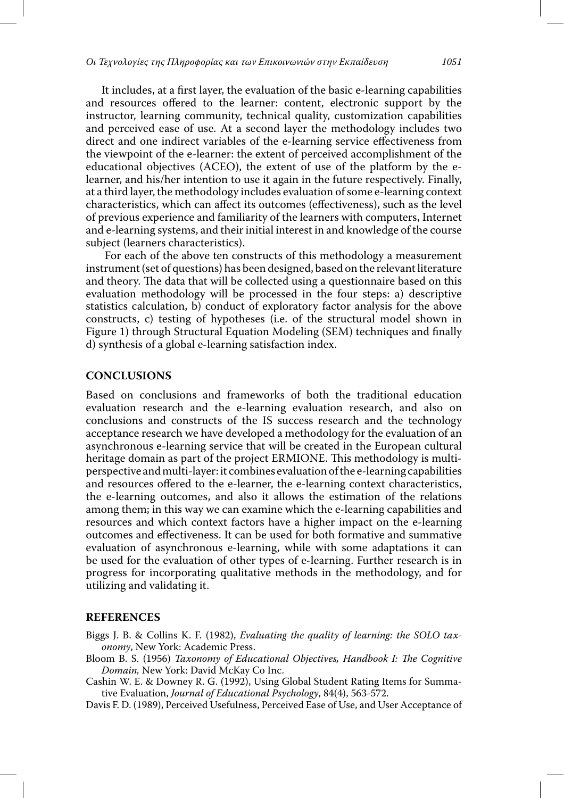It includes, at a first layer, the evaluation of the basic e-learning capabilities and resources offered to the learner: content, electronic support by the instructor, learning community, technical quality, customization capabilities and perceived ease of use. At a second layer the methodology includes two direct and one indirect variables of the e-learning service effectiveness from the viewpoint of the e-learner: the extent of perceived accomplishment of the educational objectives (ACEO), the extent of use of the platform by the elearner, and his/her intention to use it again in the future respectively. Finally, at a third layer, the methodology includes evaluation of some e-learning context characteristics, which can affect its outcomes (effectiveness), such as the level of previous experience and familiarity of the learners with computers, Internet and e-learning systems, and their initial interest in and knowledge of the course subject (learners characteristics).

 For each of the above ten constructs of this methodology a measurement instrument (set of questions) has been designed, based on the relevant literature and theory. The data that will be collected using a questionnaire based on this evaluation methodology will be processed in the four steps: a) descriptive statistics calculation, b) conduct of exploratory factor analysis for the above constructs, c) testing of hypotheses (i.e. of the structural model shown in Figure 1) through Structural Equation Modeling (SEM) techniques and finally d) synthesis of a global e-learning satisfaction index.

# **CONCLUSIONS**

Based on conclusions and frameworks of both the traditional education evaluation research and the e-learning evaluation research, and also on conclusions and constructs of the IS success research and the technology acceptance research we have developed a methodology for the evaluation of an asynchronous e-learning service that will be created in the European cultural heritage domain as part of the project ERMIONE. This methodology is multiperspective and multi-layer: it combines evaluation of the e-learning capabilities and resources offered to the e-learner, the e-learning context characteristics, the e-learning outcomes, and also it allows the estimation of the relations among them; in this way we can examine which the e-learning capabilities and resources and which context factors have a higher impact on the e-learning outcomes and effectiveness. It can be used for both formative and summative evaluation of asynchronous e-learning, while with some adaptations it can be used for the evaluation of other types of e-learning. Further research is in progress for incorporating qualitative methods in the methodology, and for utilizing and validating it.

#### **REFERENCES**

- Biggs J. B. & Collins K. F. (1982), Evaluating the quality of learning: the SOLO taxonomy, New York: Academic Press.
- Bloom B. S. (1956) Taxonomy of Educational Objectives, Handbook I: The Cognitive Domain, New York: David McKay Co Inc.
- Cashin W. E. & Downey R. G. (1992), Using Global Student Rating Items for Summative Evaluation, Journal of Educational Psychology, 84(4), 563-572.
- Davis F. D. (1989), Perceived Usefulness, Perceived Ease of Use, and User Acceptance of